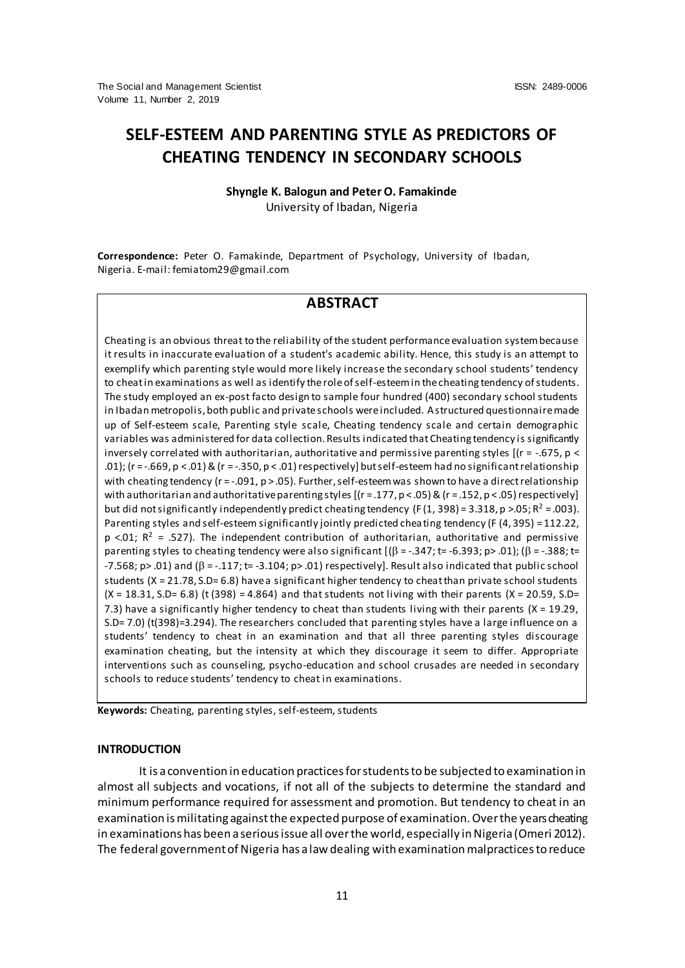# **SELF-ESTEEM AND PARENTING STYLE AS PREDICTORS OF CHEATING TENDENCY IN SECONDARY SCHOOLS**

# **Shyngle K. Balogun and Peter O. Famakinde**  University of Ibadan, Nigeria

**Correspondence:** Peter O. Famakinde, Department of Psychology, University of Ibadan, Nigeria. E-mail: femiatom29@gmail.com

# **ABSTRACT**

Cheating is an obvious threat to the reliability of the student performance evaluation system because it results in inaccurate evaluation of a student's academic ability. Hence, this study is an attempt to exemplify which parenting style would more likely increase the secondary school students' tendency to cheat in examinations as well as identify the role of self-esteem in the cheating tendency of students. The study employed an ex-post facto design to sample four hundred (400) secondary school students in Ibadan metropolis, both public and private schools were included. A structured questionnaire made up of Self-esteem scale, Parenting style scale, Cheating tendency scale and certain demographic variables was administered for data collection. Results indicated that Cheating tendency is significantly inversely correlated with authoritarian, authoritative and permissive parenting styles  $[$ ( $r = -.675$ ,  $p <$ .01); (r = -.669, p < .01) & (r = -.350, p < .01) respectively] but self-esteem had no significant relationship with cheating tendency ( $r = -0.091$ ,  $p > 0.05$ ). Further, self-esteem was shown to have a direct relationship with authoritarian and authoritative parenting styles  $[(r=.177, p < .05)$  &  $(r=.152, p < .05)$  respectively] but did not significantly independently predict cheating tendency (F(1, 398) = 3.318, p >.05; R<sup>2</sup> = .003). Parenting styles and self-esteem significantly jointly predicted cheating tendency (F (4, 395) = 112.22,  $p \le 01$ ;  $R^2 = 0.527$ ). The independent contribution of authoritarian, authoritative and permissive parenting styles to cheating tendency were also significant  $[(\beta = -0.347; t = -6.393; p > 0.01); (\beta = -0.388; t = 0.398; t = 0.398; t = 0.398; t = 0.398; t = 0.398; t = 0.398; t = 0.398; t = 0.398; t = 0.398; t = 0.398; t = 0.398; t = 0.398; t = 0.398; t = 0.$  $-7.568$ ; p> .01) and ( $\beta = -.117$ ; t=  $-3.104$ ; p> .01) respectively]. Result also indicated that public school students  $(X = 21.78, S.D = 6.8)$  have a significant higher tendency to cheat than private school students  $(X = 18.31, S.D = 6.8)$  (t (398) = 4.864) and that students not living with their parents (X = 20.59, S.D= 7.3) have a significantly higher tendency to cheat than students living with their parents (X = 19.29, S.D= 7.0) (t(398)=3.294). The researchers concluded that parenting styles have a large influence on a students' tendency to cheat in an examination and that all three parenting styles discourage examination cheating, but the intensity at which they discourage it seem to differ. Appropriate interventions such as counseling, psycho-education and school crusades are needed in secondary schools to reduce students' tendency to cheat in examinations.

**Keywords:** Cheating, parenting styles, self-esteem, students

# **INTRODUCTION**

It is a convention in education practices for students to be subjected to examination in almost all subjects and vocations, if not all of the subjects to determine the standard and minimum performance required for assessment and promotion. But tendency to cheat in an examination is militating against the expected purpose of examination. Over the years cheating in examinations has been a serious issue all over the world, especially in Nigeria (Omeri 2012). The federal government of Nigeria has a law dealing with examination malpractices to reduce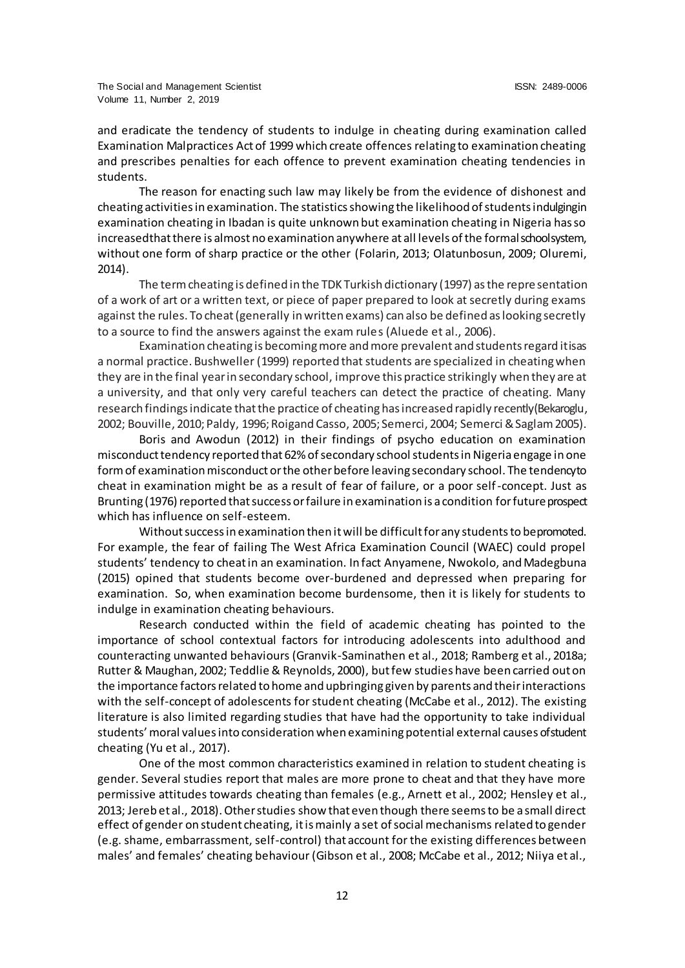and eradicate the tendency of students to indulge in cheating during examination called Examination Malpractices Act of 1999 which create offences relating to examination cheating and prescribes penalties for each offence to prevent examination cheating tendencies in students.

The reason for enacting such law may likely be from the evidence of dishonest and cheating activities in examination. The statistics showing the likelihood of students indulging in examination cheating in Ibadan is quite unknown but examination cheating in Nigeria has so increasedthat there is almost no examination anywhere at all levels of the formal school system, without one form of sharp practice or the other (Folarin, 2013; Olatunbosun, 2009; Oluremi, 2014).

The term cheating is defined in the TDK Turkish dictionary (1997) as the representation of a work of art or a written text, or piece of paper prepared to look at secretly during exams against the rules. To cheat (generally in written exams) can also be defined as looking secretly to a source to find the answers against the exam rules (Aluede et al., 2006).

Examination cheating is becoming more and more prevalent and students regard it is as a normal practice. Bushweller (1999) reported that students are specialized in cheating when they are in the final year in secondary school, improve this practice strikingly when they are at a university, and that only very careful teachers can detect the practice of cheating. Many research findings indicate that the practice of cheating has increased rapidly recently (Bekaroglu, 2002; Bouville, 2010; Paldy, 1996; Roigand Casso, 2005; Semerci, 2004; Semerci & Saglam 2005).

Boris and Awodun (2012) in their findings of psycho education on examination misconduct tendency reported that 62% of secondary school students in Nigeria engage in one form of examination misconduct or the other before leaving secondary school. The tendency to cheat in examination might be as a result of fear of failure, or a poor self-concept. Just as Brunting (1976) reported that success or failure in examination is a condition for future prospect which has influence on self-esteem.

Without success in examination then it will be difficult for any students to be promoted. For example, the fear of failing The West Africa Examination Council (WAEC) could propel students' tendency to cheat in an examination. In fact Anyamene, Nwokolo, and Madegbuna (2015) opined that students become over-burdened and depressed when preparing for examination. So, when examination become burdensome, then it is likely for students to indulge in examination cheating behaviours.

Research conducted within the field of academic cheating has pointed to the importance of school contextual factors for introducing adolescents into adulthood and counteracting unwanted behaviours (Granvik-Saminathen et al., 2018; Ramberg et al., 2018a; Rutter & Maughan, 2002; Teddlie & Reynolds, 2000), but few studies have been carried out on the importance factors related to home and upbringing given by parents and their interactions with the self-concept of adolescents for student cheating (McCabe et al., 2012). The existing literature is also limited regarding studies that have had the opportunity to take individual students' moral values into consideration when examining potential external causes of student cheating (Yu et al., 2017).

One of the most common characteristics examined in relation to student cheating is gender. Several studies report that males are more prone to cheat and that they have more permissive attitudes towards cheating than females (e.g., Arnett et al., 2002; Hensley et al., 2013; Jereb et al., 2018). Other studies show that even though there seems to be a small direct effect of gender on student cheating, it is mainly a set of social mechanisms related to gender (e.g. shame, embarrassment, self-control) that account for the existing differences between males' and females' cheating behaviour (Gibson et al., 2008; McCabe et al., 2012; Niiya et al.,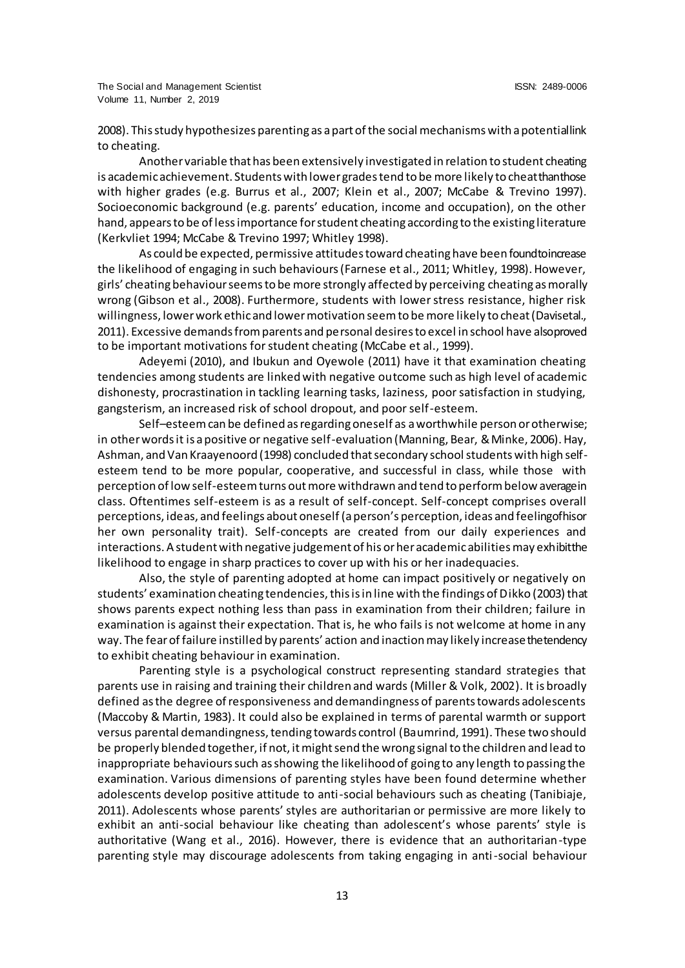2008). This study hypothesizes parenting as a part of the social mechanisms with a potential link to cheating.

Another variable that has been extensively investigated in relation to student cheating is academic achievement. Students with lower grades tend to be more likely to cheat than those with higher grades (e.g. Burrus et al., 2007; Klein et al., 2007; McCabe & Trevino 1997). Socioeconomic background (e.g. parents' education, income and occupation), on the other hand, appears to be of less importance for student cheating according to the existing literature (Kerkvliet 1994; McCabe & Trevino 1997; Whitley 1998).

As could be expected, permissive attitudes toward cheating have been found to increase the likelihood of engaging in such behaviours (Farnese et al., 2011; Whitley, 1998). However, girls' cheating behaviour seems to be more strongly affected by perceiving cheating as morally wrong (Gibson et al., 2008). Furthermore, students with lower stress resistance, higher risk willingness, lower work ethic and lower motivation seem to be more likely to cheat (Davisetal., 2011). Excessive demands from parents and personal desires to excel in school have alsoproved to be important motivations for student cheating (McCabe et al., 1999).

Adeyemi (2010), and Ibukun and Oyewole (2011) have it that examination cheating tendencies among students are linked with negative outcome such as high level of academic dishonesty, procrastination in tackling learning tasks, laziness, poor satisfaction in studying, gangsterism, an increased risk of school dropout, and poor self-esteem.

Self–esteem can be defined as regarding oneself as a worthwhile person or otherwise; in other words it is a positive or negative self-evaluation (Manning, Bear, & Minke, 2006). Hay, Ashman, and Van Kraayenoord (1998) concluded that secondary school students with high selfesteem tend to be more popular, cooperative, and successful in class, while those with perception of low self-esteem turns out more withdrawn and tend to perform below average in class. Oftentimes self-esteem is as a result of self-concept. Self-concept comprises overall perceptions, ideas, and feelings about oneself (a person's perception, ideas and feeling of his or her own personality trait). Self-concepts are created from our daily experiences and interactions. A student with negative judgement of his or her academic abilities may exhibit the likelihood to engage in sharp practices to cover up with his or her inadequacies.

Also, the style of parenting adopted at home can impact positively or negatively on students' examination cheating tendencies, this is in line with the findings of Dikko (2003) that shows parents expect nothing less than pass in examination from their children; failure in examination is against their expectation. That is, he who fails is not welcome at home in any way. The fear of failure instilled by parents' action and inaction may likely increase the tendency to exhibit cheating behaviour in examination.

Parenting style is a psychological construct representing standard strategies that parents use in raising and training their children and wards (Miller & Volk, 2002). It is broadly defined as the degree of responsiveness and demandingness of parents towards adolescents (Maccoby & Martin, 1983). It could also be explained in terms of parental warmth or support versus parental demandingness, tending towards control (Baumrind, 1991). These two should be properly blended together, if not, it might send the wrong signal to the children and lead to inappropriate behaviours such as showing the likelihood of going to any length to passing the examination. Various dimensions of parenting styles have been found determine whether adolescents develop positive attitude to anti-social behaviours such as cheating (Tanibiaje, 2011). Adolescents whose parents' styles are authoritarian or permissive are more likely to exhibit an anti-social behaviour like cheating than adolescent's whose parents' style is authoritative (Wang et al., 2016). However, there is evidence that an authoritarian-type parenting style may discourage adolescents from taking engaging in anti-social behaviour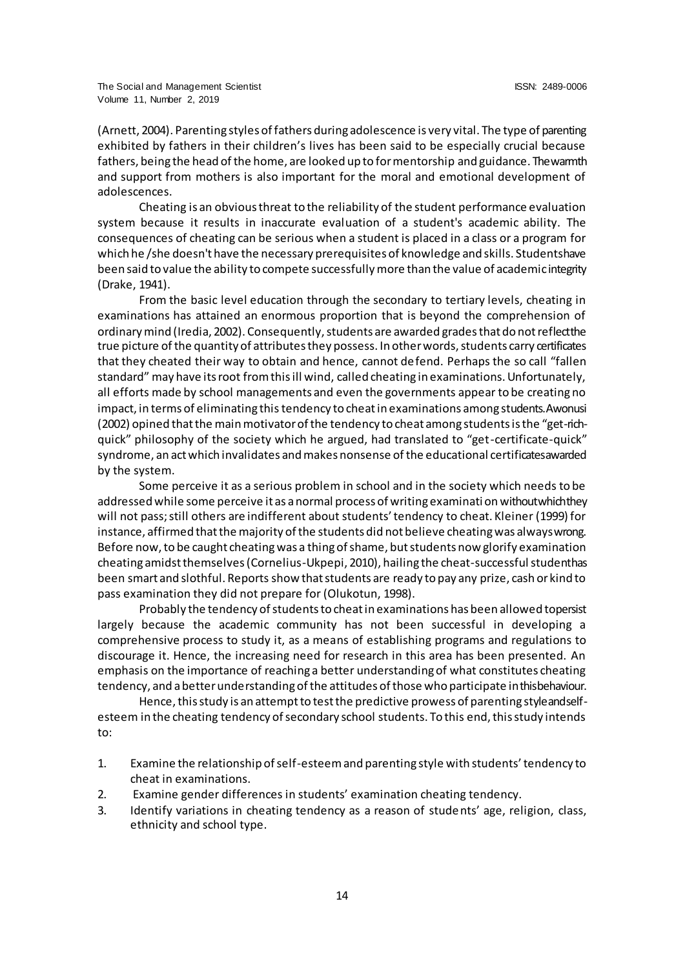(Arnett, 2004). Parenting styles of fathers during adolescence is very vital. The type of parenting exhibited by fathers in their children's lives has been said to be especially crucial because fathers, being the head of the home, are looked up to for mentorship and guidance. The warmth and support from mothers is also important for the moral and emotional development of adolescences.

Cheating is an obvious threat to the reliability of the student performance evaluation system because it results in inaccurate evaluation of a student's academic ability. The consequences of cheating can be serious when a student is placed in a class or a program for which he /she doesn't have the necessary prerequisites of knowledge and skills. Students have been said to value the ability to compete successfully more than the value of academic integrity (Drake, 1941).

From the basic level education through the secondary to tertiary levels, cheating in examinations has attained an enormous proportion that is beyond the comprehension of ordinary mind (Iredia, 2002). Consequently, students are awarded grades that do not reflect the true picture of the quantity of attributes they possess. In other words, students carry certificates that they cheated their way to obtain and hence, cannot defend. Perhaps the so call "fallen standard" may have its root from this ill wind, called cheating in examinations. Unfortunately, all efforts made by school managements and even the governments appear to be creating no impact, in terms of eliminating this tendency to cheat in examinations among students. Awonusi (2002) opined that the main motivator of the tendency to cheat among students is the "get-richquick" philosophy of the society which he argued, had translated to "get-certificate-quick" syndrome, an act which invalidates and makes nonsense of the educational certificates awarded by the system.

Some perceive it as a serious problem in school and in the society which needs to be addressed while some perceive it as a normal process of writing examination without which they will not pass; still others are indifferent about students' tendency to cheat. Kleiner (1999) for instance, affirmed that the majority of the students did not believe cheating was always wrong. Before now, to be caught cheating was a thing of shame, but students now glorify examination cheating amidst themselves (Cornelius-Ukpepi, 2010), hailing the cheat-successful student has been smart and slothful. Reports show that students are ready to pay any prize, cash or kind to pass examination they did not prepare for (Olukotun, 1998).

Probably the tendency of students to cheat in examinations has been allowed to persist largely because the academic community has not been successful in developing a comprehensive process to study it, as a means of establishing programs and regulations to discourage it. Hence, the increasing need for research in this area has been presented. An emphasis on the importance of reaching a better understanding of what constitutes cheating tendency, and a better understanding of the attitudes of those who participate in this behaviour.

Hence, this study is an attempt to test the predictive prowess of parenting styleandselfesteem in the cheating tendency of secondary school students. To this end, this study intends to:

- 1. Examine the relationship of self-esteem and parenting style with students' tendency to cheat in examinations.
- 2. Examine gender differences in students' examination cheating tendency.
- 3. Identify variations in cheating tendency as a reason of students' age, religion, class, ethnicity and school type.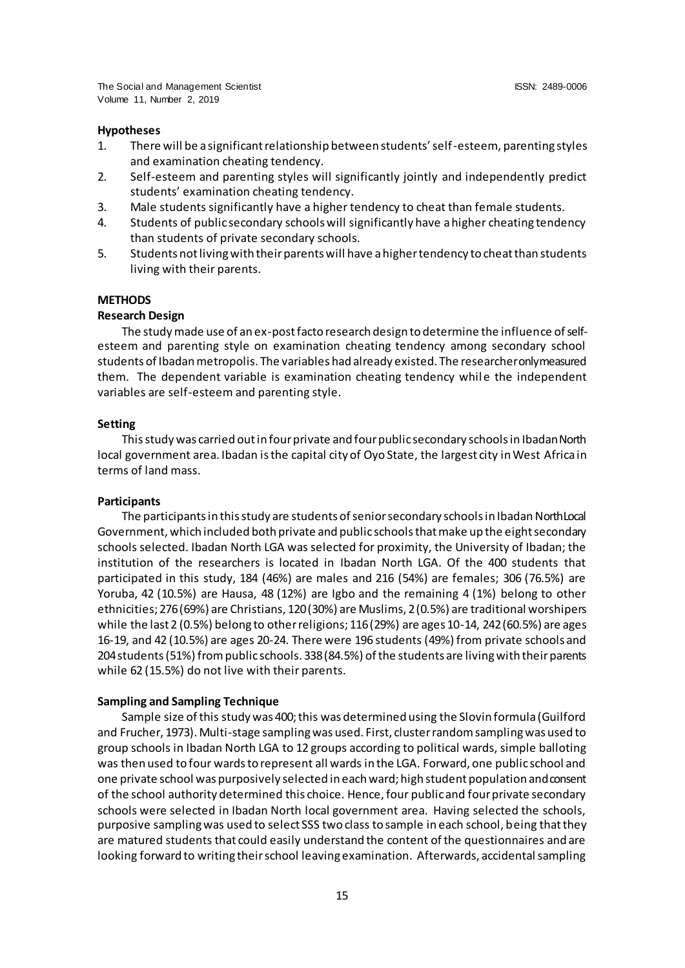# **Hypotheses**

- 1. There will be a significant relationship between students' self-esteem, parenting styles and examination cheating tendency.
- 2. Self-esteem and parenting styles will significantly jointly and independently predict students' examination cheating tendency.
- 3. Male students significantly have a higher tendency to cheat than female students.
- 4. Students of public secondary schools will significantly have a higher cheating tendency than students of private secondary schools.
- 5. Students not living with their parents will have a higher tendency to cheat than students living with their parents.

# **METHODS**

# **Research Design**

The study made use of an ex-post facto research design to determine the influence of selfesteem and parenting style on examination cheating tendency among secondary school students of Ibadan metropolis. The variables had already existed. The researcher only measured them. The dependent variable is examination cheating tendency while the independent variables are self-esteem and parenting style.

# **Setting**

This study was carried out in four private and four public secondary schools in Ibadan North local government area. Ibadan is the capital city of Oyo State, the largest city in West Africa in terms of land mass.

#### **Participants**

The participants in this study are students of senior secondary schools in Ibadan North Local Government, which included both private and public schools that make up the eight secondary schools selected. Ibadan North LGA was selected for proximity, the University of Ibadan; the institution of the researchers is located in Ibadan North LGA. Of the 400 students that participated in this study, 184 (46%) are males and 216 (54%) are females; 306 (76.5%) are Yoruba, 42 (10.5%) are Hausa, 48 (12%) are Igbo and the remaining 4 (1%) belong to other ethnicities; 276 (69%) are Christians, 120 (30%) are Muslims, 2 (0.5%) are traditional worshipers while the last 2 (0.5%) belong to other religions; 116 (29%) are ages 10-14, 242 (60.5%) are ages 16-19, and 42 (10.5%) are ages 20-24. There were 196 students (49%) from private schools and 204 students (51%) from public schools. 338 (84.5%) of the students are living with their parents while 62 (15.5%) do not live with their parents.

# **Sampling and Sampling Technique**

Sample size of this study was 400; this was determined using the Slovin formula (Guilford and Frucher, 1973). Multi-stage sampling was used. First, cluster random sampling was used to group schools in Ibadan North LGA to 12 groups according to political wards, simple balloting was then used to four wards to represent all wards in the LGA. Forward, one public school and one private school was purposively selected in each ward; high student population and consent of the school authority determined this choice. Hence, four public and four private secondary schools were selected in Ibadan North local government area. Having selected the schools, purposive sampling was used to select SSS two class to sample in each school, being that they are matured students that could easily understand the content of the questionnaires and are looking forward to writing their school leaving examination. Afterwards, accidental sampling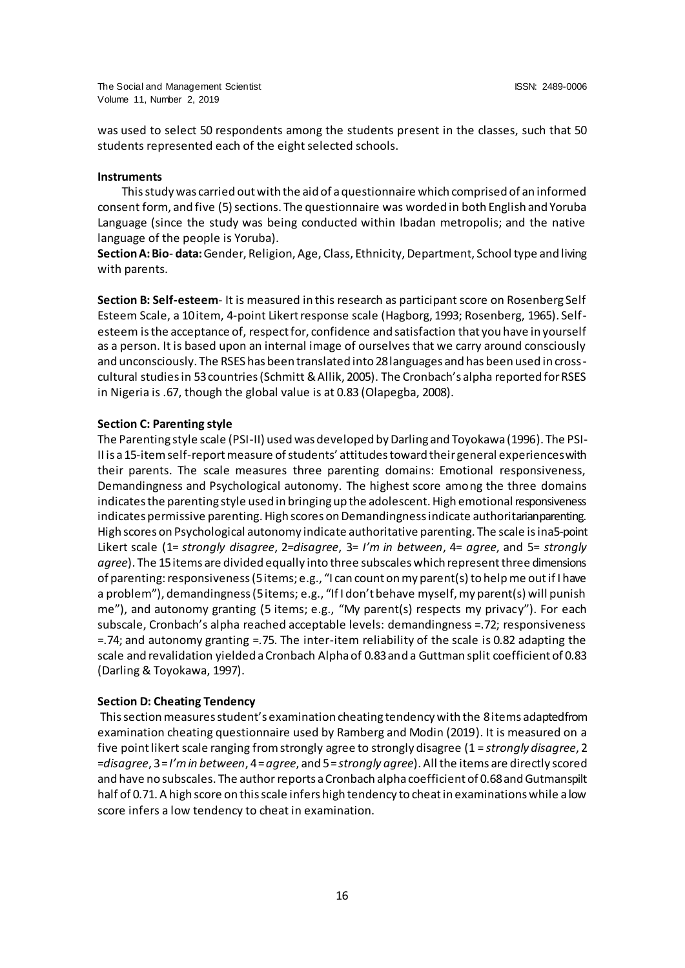was used to select 50 respondents among the students present in the classes, such that 50 students represented each of the eight selected schools.

#### **Instruments**

This study was carried out with the aid of a questionnaire which comprised of an informed consent form, and five (5) sections. The questionnaire was worded in both English and Yoruba Language (since the study was being conducted within Ibadan metropolis; and the native language of the people is Yoruba).

**Section A: Bio**- **data:**Gender, Religion, Age, Class, Ethnicity, Department, School type and living with parents.

**Section B: Self-esteem**- It is measured in this research as participant score on Rosenberg Self Esteem Scale, a 10 item, 4-point Likert response scale (Hagborg, 1993; Rosenberg, 1965). Selfesteem is the acceptance of, respect for, confidence and satisfaction that you have in yourself as a person. It is based upon an internal image of ourselves that we carry around consciously and unconsciously. The RSES has been translated into 28 languages and has been used in crosscultural studies in 53 countries (Schmitt & Allik, 2005). The Cronbach's alpha reported for RSES in Nigeria is .67, though the global value is at 0.83 (Olapegba, 2008).

# **Section C: Parenting style**

The Parenting style scale (PSI-II) used was developed by Darling and Toyokawa (1996). The PSI-II is a 15-item self-report measure of students' attitudes toward their general experiences with their parents. The scale measures three parenting domains: Emotional responsiveness, Demandingness and Psychological autonomy. The highest score among the three domains indicates the parenting style used in bringing up the adolescent. High emotional responsiveness indicates permissive parenting. High scores on Demandingness indicate authoritarian parenting. High scores on Psychological autonomy indicate authoritative parenting. The scale is ina 5-point Likert scale (1= *strongly disagree*, 2=*disagree*, 3= *I'm in between*, 4= *agree*, and 5= *strongly agree*). The 15 items are divided equally into three subscales which represent three dimensions of parenting: responsiveness (5 items; e.g., "I can count on my parent(s) to help me out if I have a problem"), demandingness (5 items; e.g., "If I don't behave myself, my parent(s) will punish me"), and autonomy granting (5 items; e.g., "My parent(s) respects my privacy"). For each subscale, Cronbach's alpha reached acceptable levels: demandingness =.72; responsiveness =.74; and autonomy granting =.75. The inter-item reliability of the scale is 0.82 adapting the scale and revalidation yielded a Cronbach Alpha of 0.83 and a Guttman split coefficient of 0.83 (Darling & Toyokawa, 1997).

# **Section D: Cheating Tendency**

This section measures student's examination cheating tendency with the 8items adapted from examination cheating questionnaire used by Ramberg and Modin (2019). It is measured on a five point likert scale ranging from strongly agree to strongly disagree (1 = *strongly disagree*, 2 =*disagree*, 3= *I'm in between*, 4= *agree*, and 5= *strongly agree*). All the items are directly scored and have no subscales. The author reports a Cronbach alpha coefficient of 0.68 and Gutman spilt half of 0.71. A high score on this scale infers high tendency to cheat in examinations while a low score infers a low tendency to cheat in examination.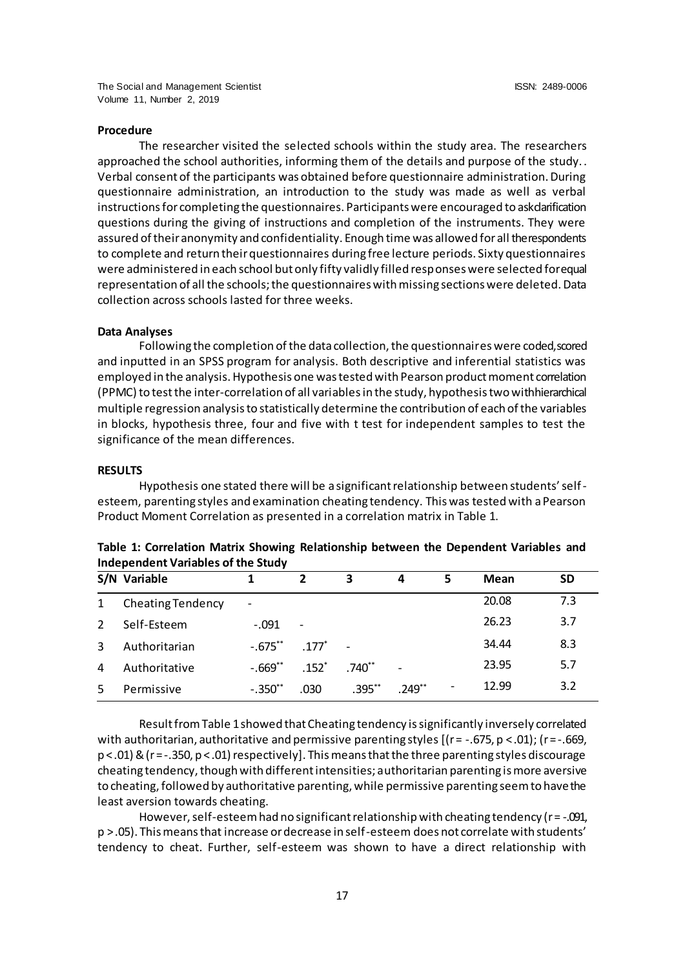#### **Procedure**

The researcher visited the selected schools within the study area. The researchers approached the school authorities, informing them of the details and purpose of the study.. Verbal consent of the participants was obtained before questionnaire administration. During questionnaire administration, an introduction to the study was made as well as verbal instructions for completing the questionnaires. Participants were encouraged to ask darification questions during the giving of instructions and completion of the instruments. They were assured of their anonymity and confidentiality. Enough time was allowed for all the respondents to complete and return their questionnaires during free lecture periods. Sixty questionnaires were administered in each school but only fifty validly filled responses were selected for equal representation of all the schools; the questionnaires with missing sections were deleted. Data collection across schools lasted for three weeks.

#### **Data Analyses**

Following the completion of the data collection, the questionnaires were coded, scored and inputted in an SPSS program for analysis. Both descriptive and inferential statistics was employed in the analysis. Hypothesis one was tested with Pearson product moment correlation (PPMC) to test the inter-correlation of all variables in the study, hypothesis two with hierarchical multiple regression analysis to statistically determine the contribution of each of the variables in blocks, hypothesis three, four and five with t test for independent samples to test the significance of the mean differences.

#### **RESULTS**

Hypothesis one stated there will be a significant relationship between students' selfesteem, parenting styles and examination cheating tendency. This was tested with a Pearson Product Moment Correlation as presented in a correlation matrix in Table 1.

|               | S/N Variable             |                          |                          | 3           | 4              | 5                        | Mean  | <b>SD</b> |
|---------------|--------------------------|--------------------------|--------------------------|-------------|----------------|--------------------------|-------|-----------|
| $\mathbf{1}$  | <b>Cheating Tendency</b> | $\overline{\phantom{a}}$ |                          |             |                |                          | 20.08 | 7.3       |
| $\mathcal{L}$ | Self-Esteem              | $-.091$                  | $\overline{\phantom{a}}$ |             |                |                          | 26.23 | 3.7       |
| 3             | Authoritarian            | $-.675***$               | .177                     |             |                |                          | 34.44 | 8.3       |
| 4             | Authoritative            | $-.669**$                | $.152*$                  | $.740^{**}$ | $\overline{a}$ |                          | 23.95 | 5.7       |
| 5             | Permissive               | $-.350$ **               | .030                     | $.395***$   | $.249***$      | $\overline{\phantom{a}}$ | 12.99 | 3.2       |

**Table 1: Correlation Matrix Showing Relationship between the Dependent Variables and Independent Variables of the Study**

Result from Table 1 showed that Cheating tendency is significantly inversely correlated with authoritarian, authoritative and permissive parenting styles  $[(r = -.675, p < .01); (r = -.669,$  $p < .01$ ) & (r =  $-.350$ ,  $p < .01$ ) respectively]. This means that the three parenting styles discourage cheating tendency, though with different intensities; authoritarian parenting is more aversive to cheating, followed by authoritative parenting, while permissive parenting seem to have the least aversion towards cheating.

However, self-esteem had no significant relationship with cheating tendency ( $r = -0.091$ , p > .05). This means that increase or decrease in self-esteem does not correlate with students' tendency to cheat. Further, self-esteem was shown to have a direct relationship with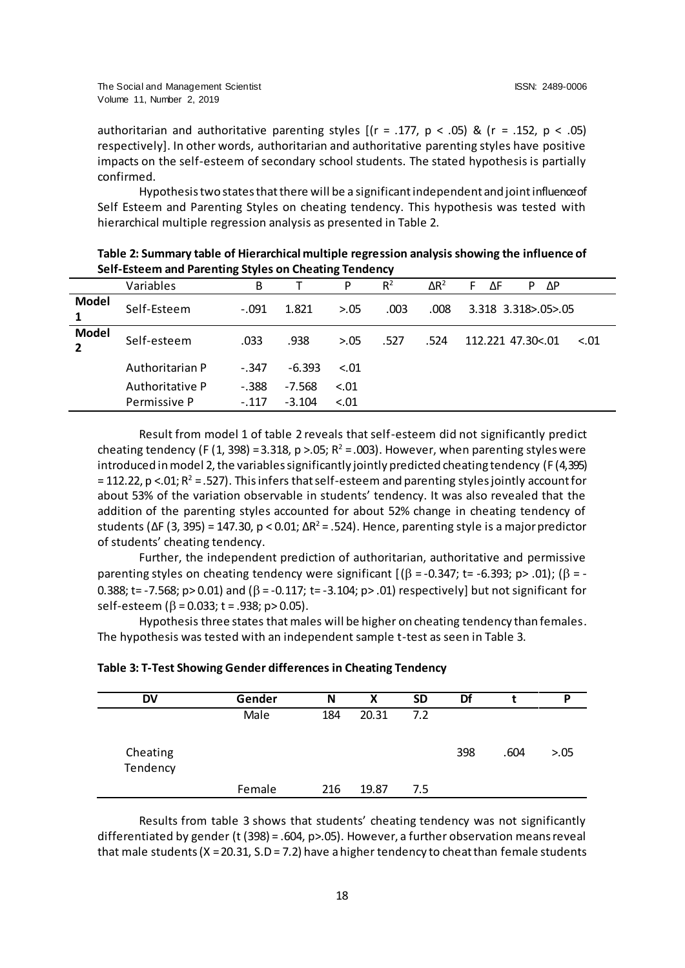authoritarian and authoritative parenting styles  $[(r = .177, p < .05)$  &  $(r = .152, p < .05)$ respectively]. In other words, authoritarian and authoritative parenting styles have positive impacts on the self-esteem of secondary school students. The stated hypothesis is partially confirmed.

Hypothesis two states that there will be a significant independent and joint influence of Self Esteem and Parenting Styles on cheating tendency. This hypothesis was tested with hierarchical multiple regression analysis as presented in Table 2.

|                   | Variables       | В       |          | P      | $R^2$ | $\Delta R^2$ | ΔΡ<br>ΔF<br>P<br>F          |
|-------------------|-----------------|---------|----------|--------|-------|--------------|-----------------------------|
| <b>Model</b><br>1 | Self-Esteem     | $-.091$ | 1.821    | > 0.05 | .003  | .008         | 3.318 3.318>.05>.05         |
| <b>Model</b>      | Self-esteem     | .033    | .938     | > 0.05 | .527  | .524         | 112.221 47.30<.01<br>$-.01$ |
|                   | Authoritarian P | $-.347$ | $-6.393$ | $-.01$ |       |              |                             |
|                   | Authoritative P | $-.388$ | $-7.568$ | $-.01$ |       |              |                             |
|                   | Permissive P    | $-.117$ | $-3.104$ | $-.01$ |       |              |                             |

**Table 2: Summary table of Hierarchical multiple regression analysis showing the influence of Self-Esteem and Parenting Styles on Cheating Tendency**

Result from model 1 of table 2 reveals that self-esteem did not significantly predict cheating tendency (F (1, 398) = 3.318, p >.05; R<sup>2</sup> = .003). However, when parenting styles were introduced in model 2, the variables significantly jointly predicted cheating tendency (F (4, 395) = 112.22, p <.01; R² = .527). This infers that self-esteem and parenting styles jointly account for about 53% of the variation observable in students' tendency. It was also revealed that the addition of the parenting styles accounted for about 52% change in cheating tendency of students (ΔF (3, 395) = 147.30, p < 0.01; ΔR<sup>2</sup> = .524). Hence, parenting style is a major predictor of students' cheating tendency.

Further, the independent prediction of authoritarian, authoritative and permissive parenting styles on cheating tendency were significant  $[(\beta = -0.347; t = -6.393; p > .01); (\beta = -1.395; t = 0.395; t = 0.395; t = 0.395; t = 0.395; t = 0.395; t = 0.395; t = 0.395; t = 0.395; t = 0.395; t = 0.395; t = 0.395; t = 0.395; t = 0.395; t = 0.395; t =$ 0.388; t= -7.568; p> 0.01) and ( $\beta$  = -0.117; t= -3.104; p> .01) respectively] but not significant for self-esteem ( $\beta$  = 0.033; t = .938; p> 0.05).

Hypothesis three states that males will be higher on cheating tendency than females. The hypothesis was tested with an independent sample t-test as seen in Table 3.

|  |  | Table 3: T-Test Showing Gender differences in Cheating Tendency |
|--|--|-----------------------------------------------------------------|
|--|--|-----------------------------------------------------------------|

| <b>DV</b>            | Gender | N   | Х     | <b>SD</b> | Df  |      | D      |
|----------------------|--------|-----|-------|-----------|-----|------|--------|
|                      | Male   | 184 | 20.31 | 7.2       |     |      |        |
| Cheating<br>Tendency |        |     |       |           | 398 | .604 | > 0.05 |
|                      | Female | 216 | 19.87 | 7.5       |     |      |        |

Results from table 3 shows that students' cheating tendency was not significantly differentiated by gender (t (398) = .604, p>.05). However, a further observation means reveal that male students ( $X = 20.31$ ,  $S.D = 7.2$ ) have a higher tendency to cheat than female students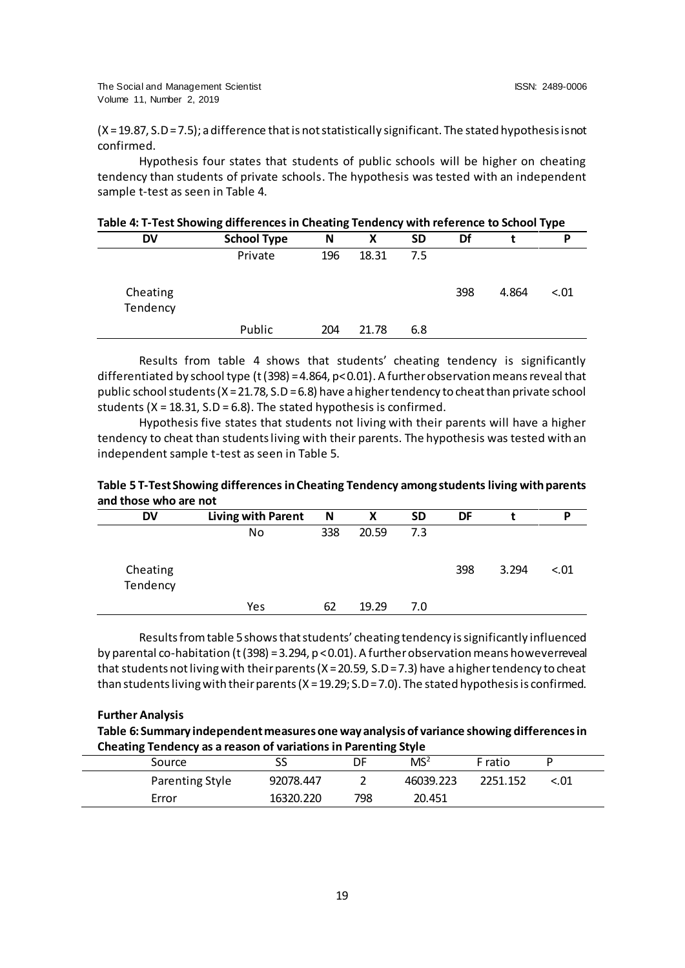(X = 19.87, S.D= 7.5); a difference that is not statistically significant. The stated hypothesis is not confirmed.

Hypothesis four states that students of public schools will be higher on cheating tendency than students of private schools. The hypothesis was tested with an independent sample t-test as seen in Table 4.

| Table 4: T-Test Showing differences in Cheating Tendency with reference to School Type |  |
|----------------------------------------------------------------------------------------|--|
|----------------------------------------------------------------------------------------|--|

| <b>DV</b>            | <b>School Type</b> | N   | x     | <b>SD</b> | Df  |       | D      |
|----------------------|--------------------|-----|-------|-----------|-----|-------|--------|
|                      | Private            | 196 | 18.31 | 7.5       |     |       |        |
| Cheating<br>Tendency |                    |     |       |           | 398 | 4.864 | $-.01$ |
|                      | Public             | 204 | 21.78 | 6.8       |     |       |        |

Results from table 4 shows that students' cheating tendency is significantly differentiated by school type (t (398) = 4.864, p< 0.01). A further observation means reveal that public school students ( $X = 21.78$ , S.D = 6.8) have a higher tendency to cheat than private school students ( $X = 18.31$ ,  $S.D = 6.8$ ). The stated hypothesis is confirmed.

Hypothesis five states that students not living with their parents will have a higher tendency to cheat than students living with their parents. The hypothesis was tested with an independent sample t-test as seen in Table 5.

| Table 5 T-Test Showing differences in Cheating Tendency among students living with parents |  |
|--------------------------------------------------------------------------------------------|--|
| and those who are not                                                                      |  |

| <b>DV</b>            | <b>Living with Parent</b> | N   | Χ     | <b>SD</b> | DF  |       | D      |
|----------------------|---------------------------|-----|-------|-----------|-----|-------|--------|
|                      | No                        | 338 | 20.59 | 7.3       |     |       |        |
| Cheating<br>Tendency |                           |     |       |           | 398 | 3.294 | < 0.01 |
|                      | Yes                       | 62  | 19.29 | 7.0       |     |       |        |

Results from table 5 shows that students' cheating tendency is significantly influenced by parental co-habitation (t (398) = 3.294,  $p$  < 0.01). A further observation means however reveal that students not living with their parents (X = 20.59, S.D = 7.3) have a higher tendency to cheat than students living with their parents (X = 19.29; S.D = 7.0). The stated hypothesis is confirmed.

**Further Analysis**

**Table 6: Summary independent measures one way analysis of variance showing differences in Cheating Tendency as a reason of variations in Parenting Style**

| Source          |           | DF  | MS <sup>2</sup> | F ratio  |      |
|-----------------|-----------|-----|-----------------|----------|------|
| Parenting Style | 92078.447 |     | 46039.223       | 2251.152 | <.01 |
| Error           | 16320.220 | 798 | 20.451          |          |      |
|                 |           |     |                 |          |      |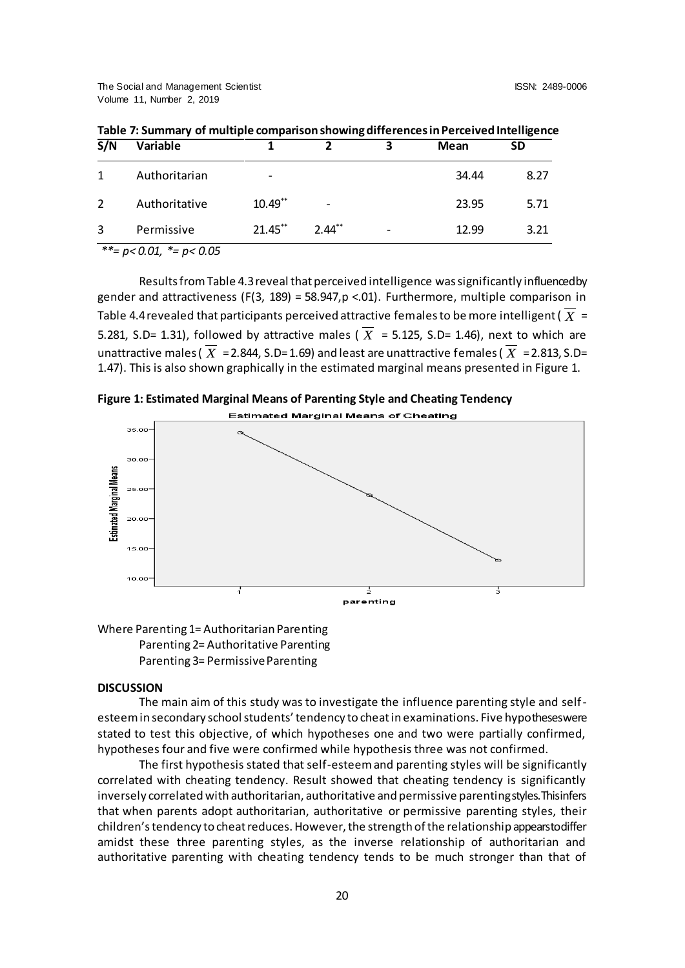| Variable      |            | ר                        | 3 | Mean  | <b>SD</b> |
|---------------|------------|--------------------------|---|-------|-----------|
| Authoritarian |            |                          |   | 34.44 | 8.27      |
| Authoritative | $10.49**$  | $\overline{\phantom{a}}$ |   | 23.95 | 5.71      |
| Permissive    | $21.45***$ | $2.44***$                | - | 12.99 | 3.21      |
|               |            |                          |   |       |           |

**Table 7: Summary of multiple comparison showing differences in Perceived Intelligence** 

*\*\*= p< 0.01, \*= p< 0.05*

Results from Table 4.3 reveal that perceived intelligence was significantly influenced by gender and attractiveness (F(3, 189) = 58.947,  $p$  < 01). Furthermore, multiple comparison in Table 4.4 revealed that participants perceived attractive females to be more intelligent (  $X \models$ 5.281, S.D= 1.31), followed by attractive males ( $X = 5.125$ , S.D= 1.46), next to which are unattractive males (  $X$  = 2.844, S.D= 1.69) and least are unattractive females (  $X$  = 2.813, S.D= 1.47). This is also shown graphically in the estimated marginal means presented in Figure 1.





Where Parenting 1= Authoritarian Parenting Parenting 2= Authoritative Parenting Parenting 3= Permissive Parenting

# **DISCUSSION**

The main aim of this study was to investigate the influence parenting style and selfesteem in secondary school students' tendency to cheat in examinations. Five hypotheses were stated to test this objective, of which hypotheses one and two were partially confirmed, hypotheses four and five were confirmed while hypothesis three was not confirmed.

The first hypothesis stated that self-esteem and parenting styles will be significantly correlated with cheating tendency. Result showed that cheating tendency is significantly inversely correlated with authoritarian, authoritative and permissive parenting styles. This infers that when parents adopt authoritarian, authoritative or permissive parenting styles, their children's tendency to cheat reduces. However, the strength of the relationship appears to differ amidst these three parenting styles, as the inverse relationship of authoritarian and authoritative parenting with cheating tendency tends to be much stronger than that of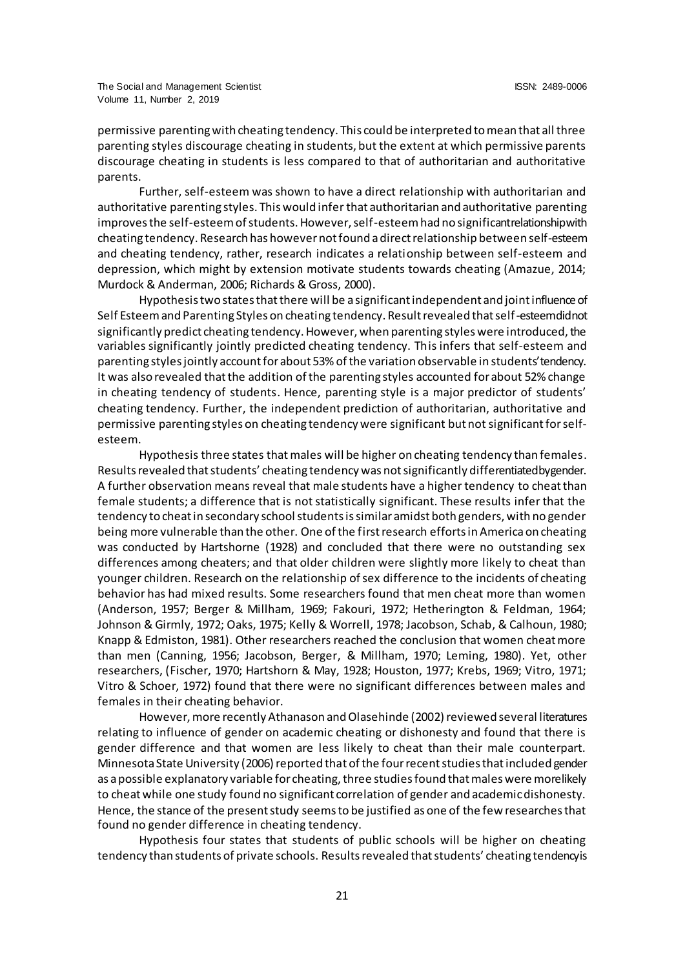permissive parenting with cheating tendency. This could be interpreted to mean that all three parenting styles discourage cheating in students, but the extent at which permissive parents discourage cheating in students is less compared to that of authoritarian and authoritative parents.

Further, self-esteem was shown to have a direct relationship with authoritarian and authoritative parenting styles. This would infer that authoritarian and authoritative parenting improves the self-esteem of students. However, self-esteem had no significant relationship with cheating tendency. Research has however not found a direct relationship between self-esteem and cheating tendency, rather, research indicates a relationship between self-esteem and depression, which might by extension motivate students towards cheating (Amazue, 2014; Murdock & Anderman, 2006; Richards & Gross, 2000).

Hypothesis two states that there will be a significant independent and joint influence of Self Esteem and Parenting Styles on cheating tendency. Result revealed that self-esteem did not significantly predict cheating tendency. However, when parenting styles were introduced, the variables significantly jointly predicted cheating tendency. This infers that self-esteem and parenting styles jointly account for about 53% of the variation observable in students' tendency. It was also revealed that the addition of the parenting styles accounted for about 52% change in cheating tendency of students. Hence, parenting style is a major predictor of students' cheating tendency. Further, the independent prediction of authoritarian, authoritative and permissive parenting styles on cheating tendency were significant but not significant for selfesteem.

Hypothesis three states that males will be higher on cheating tendency than females. Results revealed that students' cheating tendency was not significantly differentiated by gender. A further observation means reveal that male students have a higher tendency to cheat than female students; a difference that is not statistically significant. These results infer that the tendency to cheat in secondary school students is similar amidst both genders, with no gender being more vulnerable than the other. One of the first research efforts in America on cheating was conducted by Hartshorne (1928) and concluded that there were no outstanding sex differences among cheaters; and that older children were slightly more likely to cheat than younger children. Research on the relationship of sex difference to the incidents of cheating behavior has had mixed results. Some researchers found that men cheat more than women (Anderson, 1957; Berger & Millham, 1969; Fakouri, 1972; Hetherington & Feldman, 1964; Johnson & Girmly, 1972; Oaks, 1975; Kelly & Worrell, 1978; Jacobson, Schab, & Calhoun, 1980; Knapp & Edmiston, 1981). Other researchers reached the conclusion that women cheat more than men (Canning, 1956; Jacobson, Berger, & Millham, 1970; Leming, 1980). Yet, other researchers, (Fischer, 1970; Hartshorn & May, 1928; Houston, 1977; Krebs, 1969; Vitro, 1971; Vitro & Schoer, 1972) found that there were no significant differences between males and females in their cheating behavior.

However, more recently Athanason and Olasehinde (2002) reviewed several literatures relating to influence of gender on academic cheating or dishonesty and found that there is gender difference and that women are less likely to cheat than their male counterpart. Minnesota State University (2006) reported that of the four recent studies that included gender as a possible explanatory variable for cheating, three studies found that males were more likely to cheat while one study found no significant correlation of gender and academic dishonesty. Hence, the stance of the present study seems to be justified as one of the few researches that found no gender difference in cheating tendency.

Hypothesis four states that students of public schools will be higher on cheating tendency than students of private schools. Results revealed that students' cheating tendency is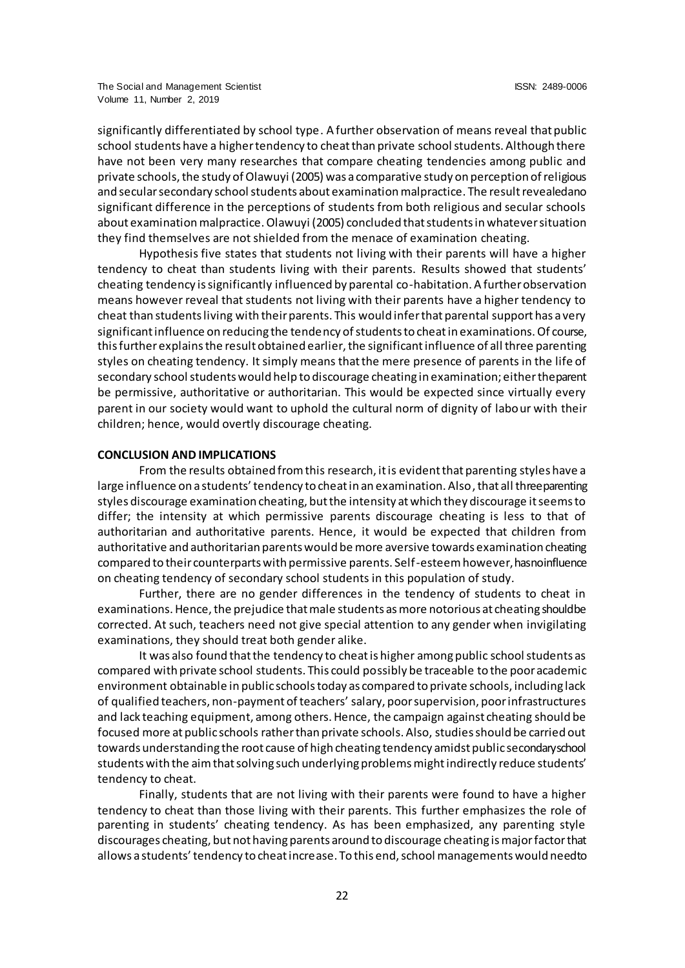significantly differentiated by school type. A further observation of means reveal that public school students have a higher tendency to cheat than private school students. Although there have not been very many researches that compare cheating tendencies among public and private schools, the study of Olawuyi (2005) was a comparative study on perception of religious and secular secondary school students about examination malpractice. The result revealed ano significant difference in the perceptions of students from both religious and secular schools about examination malpractice. Olawuyi (2005) concluded that students in whatever situation they find themselves are not shielded from the menace of examination cheating.

Hypothesis five states that students not living with their parents will have a higher tendency to cheat than students living with their parents. Results showed that students' cheating tendency is significantly influenced by parental co-habitation. A further observation means however reveal that students not living with their parents have a higher tendency to cheat than students living with their parents. This would infer that parental support has a very significant influence on reducing the tendency of students to cheat in examinations. Of course, this further explains the result obtained earlier, the significant influence of all three parenting styles on cheating tendency. It simply means that the mere presence of parents in the life of secondary school students would help to discourage cheating in examination; either the parent be permissive, authoritative or authoritarian. This would be expected since virtually every parent in our society would want to uphold the cultural norm of dignity of labour with their children; hence, would overtly discourage cheating.

#### **CONCLUSION AND IMPLICATIONS**

From the results obtained from this research, it is evident that parenting styles have a large influence on a students' tendency to cheat in an examination. Also, that all three parenting styles discourage examination cheating, but the intensity at which they discourage it seems to differ; the intensity at which permissive parents discourage cheating is less to that of authoritarian and authoritative parents. Hence, it would be expected that children from authoritative and authoritarian parents would be more aversive towards examination cheating compared to their counterparts with permissive parents. Self-esteem however, has no influence on cheating tendency of secondary school students in this population of study.

Further, there are no gender differences in the tendency of students to cheat in examinations. Hence, the prejudice that male students as more notorious at cheating should be corrected. At such, teachers need not give special attention to any gender when invigilating examinations, they should treat both gender alike.

It was also found that the tendency to cheat is higher among public school students as compared with private school students. This could possibly be traceable to the poor academic environment obtainable in public schools today as compared to private schools, including lack of qualified teachers, non-payment of teachers' salary, poor supervision, poor infrastructures and lack teaching equipment, among others. Hence, the campaign against cheating should be focused more at public schools rather than private schools. Also, studies should be carried out towards understanding the root cause of high cheating tendency amidst public secondary school students with the aim that solving such underlying problems might indirectly reduce students' tendency to cheat.

Finally, students that are not living with their parents were found to have a higher tendency to cheat than those living with their parents. This further emphasizes the role of parenting in students' cheating tendency. As has been emphasized, any parenting style discourages cheating, but not having parents around to discourage cheating is major factor that allows a students' tendency to cheat increase. To this end, school managements would need to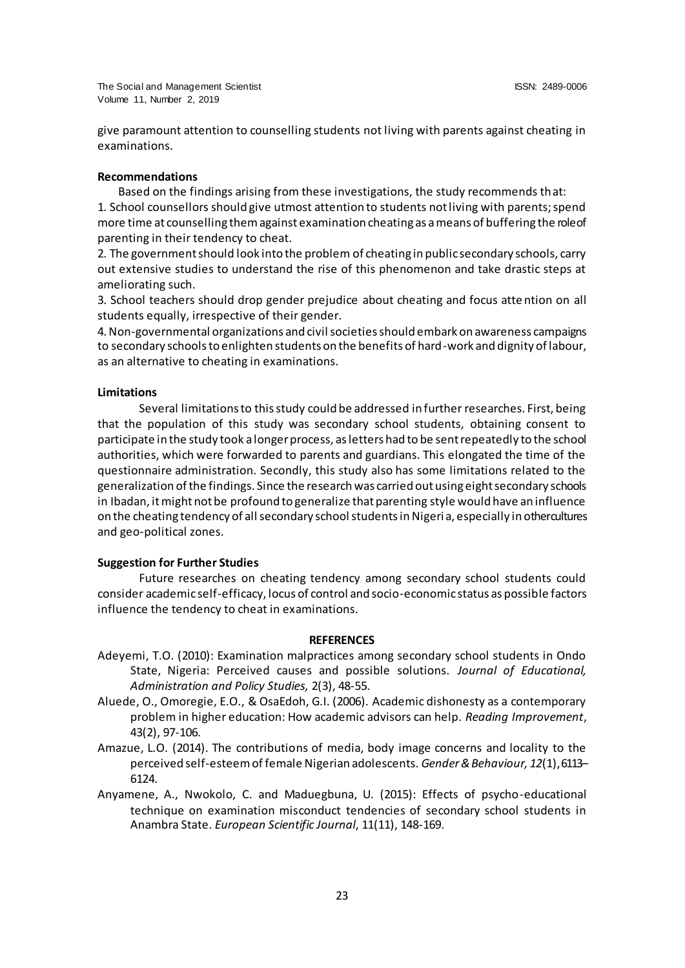give paramount attention to counselling students not living with parents against cheating in examinations.

#### **Recommendations**

Based on the findings arising from these investigations, the study recommends that:

1. School counsellors should give utmost attention to students not living with parents; spend more time at counselling them against examination cheating as a means of buffering the role of parenting in their tendency to cheat.

2. The government should look into the problem of cheating in public secondary schools, carry out extensive studies to understand the rise of this phenomenon and take drastic steps at ameliorating such.

3. School teachers should drop gender prejudice about cheating and focus atte ntion on all students equally, irrespective of their gender.

4. Non-governmental organizations and civil societies should embark on awareness campaigns to secondary schools to enlighten students on the benefits of hard-work and dignity of labour, as an alternative to cheating in examinations.

#### **Limitations**

Several limitations to this study could be addressed in further researches. First, being that the population of this study was secondary school students, obtaining consent to participate in the study took a longer process, as letters had to be sent repeatedly to the school authorities, which were forwarded to parents and guardians. This elongated the time of the questionnaire administration. Secondly, this study also has some limitations related to the generalization of the findings. Since the research was carried out using eight secondary schools in Ibadan, it might not be profound to generalize that parenting style would have an influence on the cheating tendency of all secondary school students in Nigeria, especially in other cultures and geo-political zones.

#### **Suggestion for Further Studies**

Future researches on cheating tendency among secondary school students could consider academic self-efficacy, locus of control and socio-economic status as possible factors influence the tendency to cheat in examinations.

#### **REFERENCES**

- Adeyemi, T.O. (2010): Examination malpractices among secondary school students in Ondo State, Nigeria: Perceived causes and possible solutions. *Journal of Educational, Administration and Policy Studies,* 2(3), 48-55.
- Aluede, O., Omoregie, E.O., & OsaEdoh, G.I. (2006). Academic dishonesty as a contemporary problem in higher education: How academic advisors can help. *Reading Improvement*, 43(2), 97-106.
- Amazue, L.O. (2014). The contributions of media, body image concerns and locality to the perceived self-esteem of female Nigerian adolescents. *Gender & Behaviour, 12*(1), 6113– 6124.
- Anyamene, A., Nwokolo, C. and Maduegbuna, U. (2015): Effects of psycho-educational technique on examination misconduct tendencies of secondary school students in Anambra State. *European Scientific Journal*, 11(11), 148-169.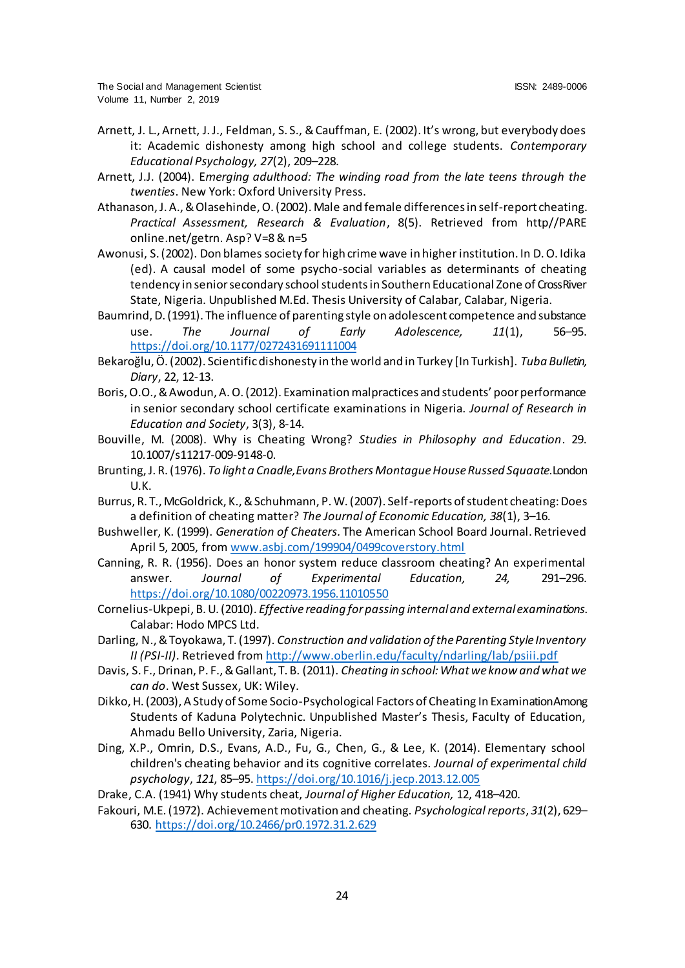- Arnett, J. L., Arnett, J. J., Feldman, S. S., & Cauffman, E. (2002). It's wrong, but everybody does it: Academic dishonesty among high school and college students. *Contemporary Educational Psychology, 27*(2), 209–228.
- Arnett, J.J. (2004). E*merging adulthood: The winding road from the late teens through the twenties*. New York: Oxford University Press.
- Athanason, J. A., & Olasehinde, O. (2002). Male and female differences in self-report cheating. *Practical Assessment, Research & Evaluation*, 8(5). Retrieved from http//PARE online.net/getrn. Asp? V=8 & n=5
- Awonusi, S. (2002). Don blames society for high crime wave in higher institution. In D. O. Idika (ed). A causal model of some psycho-social variables as determinants of cheating tendency in senior secondary school students in Southern Educational Zone of Cross River State, Nigeria. Unpublished M.Ed. Thesis University of Calabar, Calabar, Nigeria.
- Baumrind, D. (1991). The influence of parenting style on adolescent competence and substance use. *The Journal of Early Adolescence, 11*(1), 56–95. [https://doi.org/10.1177/0272431691111004](https://psycnet.apa.org/doi/10.1177/0272431691111004)
- Bekaroğlu, Ö. (2002). Scientific dishonesty in the world and in Turkey [In Turkish]. *Tuba Bulletin, Diary*, 22, 12-13.
- Boris, O.O., & Awodun, A. O. (2012). Examination malpractices and students' poor performance in senior secondary school certificate examinations in Nigeria. *Journal of Research in Education and Society*, 3(3), 8-14.
- Bouville, M. (2008). Why is Cheating Wrong? *Studies in Philosophy and Education*. 29. 10.1007/s11217-009-9148-0.
- Brunting, J. R. (1976). *To light a Cnadle,Evans Brothers Montague House Russed Squaate*. London U.K.
- Burrus, R. T., McGoldrick, K., & Schuhmann, P. W. (2007). Self-reports of student cheating: Does a definition of cheating matter? *The Journal of Economic Education, 38*(1), 3–16.
- Bushweller, K. (1999). *Generation of Cheaters.* The American School Board Journal. Retrieved April 5, 2005, fro[m www.asbj.com/199904/0499coverstory.html](http://www.asbj.com/199904/0499coverstory.html)
- Canning, R. R. (1956). Does an honor system reduce classroom cheating? An experimental answer. *Journal of Experimental Education, 24,* 291–296. [https://doi.org/10.1080/00220973.1956.11010550](https://psycnet.apa.org/doi/10.1080/00220973.1956.11010550)
- Cornelius-Ukpepi, B. U. (2010). *Effective reading for passing internal and external examinations*. Calabar: Hodo MPCS Ltd.
- Darling, N., & Toyokawa, T. (1997). *Construction and validation of the Parenting Style Inventory II (PSI-II)*. Retrieved fro[m http://www.oberlin.edu/faculty/ndarling/lab/psiii.](http://www.oberlin.edu/faculty/ndarling/lab/psiii.pdf)pdf
- Davis, S. F., Drinan, P. F., & Gallant, T. B. (2011). *Cheating in school: What we know and what we can do*. West Sussex, UK: Wiley.
- Dikko, H. (2003), A Study of Some Socio-Psychological Factors of Cheating In Examination Among Students of Kaduna Polytechnic. Unpublished Master's Thesis, Faculty of Education, Ahmadu Bello University, Zaria, Nigeria.
- Ding, X.P., Omrin, D.S., Evans, A.D., Fu, G., Chen, G., & Lee, K. (2014). Elementary school children's cheating behavior and its cognitive correlates. *Journal of experimental child psychology*, *121*, 85–95.<https://doi.org/10.1016/j.jecp.2013.12.005>
- Drake, C.A. (1941) Why students cheat, *Journal of Higher Education,* 12, 418–420.
- Fakouri, M.E. (1972). Achievement motivation and cheating. *Psychological reports*, *31*(2), 629– 630.<https://doi.org/10.2466/pr0.1972.31.2.629>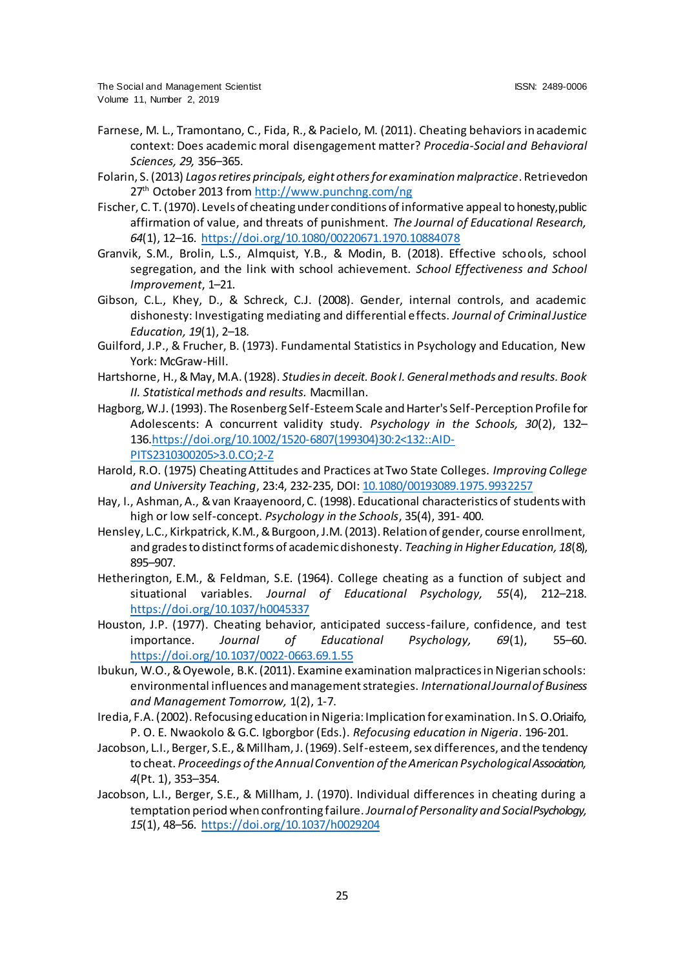- Farnese, M. L., Tramontano, C., Fida, R., & Pacielo, M. (2011). Cheating behaviors in academic context: Does academic moral disengagement matter? *Procedia-Social and Behavioral Sciences, 29,* 356–365.
- Folarin, S. (2013) *Lagos retires principals, eight others for examination malpractice*. Retrieved on 27<sup>th</sup> October 2013 fro[m http://www.punchng.com/ng](http://www.punchng.com/ng)
- Fischer, C. T. (1970). Levels of cheating under conditions of informative appeal to honesty, public affirmation of value, and threats of punishment. *The Journal of Educational Research, 64*(1), 12–16. [https://doi.org/10.1080/00220671.1970.10884078](https://psycnet.apa.org/doi/10.1080/00220671.1970.10884078)
- Granvik, S.M., Brolin, L.S., Almquist, Y.B., & Modin, B. (2018). Effective schools, school segregation, and the link with school achievement. *School Effectiveness and School Improvement*, 1–21.
- Gibson, C.L., Khey, D., & Schreck, C.J. (2008). Gender, internal controls, and academic dishonesty: Investigating mediating and differential effects. *Journal of Criminal Justice Education, 19*(1), 2–18.
- Guilford, J.P., & Frucher, B. (1973). Fundamental Statistics in Psychology and Education, New York: McGraw-Hill.
- Hartshorne, H., & May, M.A. (1928). *Studies in deceit. Book I. General methods and results. Book II. Statistical methods and results.* Macmillan.
- Hagborg, W.J. (1993). The Rosenberg Self-Esteem Scale and Harter's Self-Perception Profile for Adolescents: A concurrent validity study. *Psychology in the Schools, 30*(2), 132– 136[.https://doi.org/10.1002/1520-6807\(199304\)30:2<132::AID-](https://doi.org/10.1002/1520-6807(199304)30:2%3c132::AID-PITS2310300205%3e3.0.CO;2-Z)[PITS2310300205>3.0.CO;2-Z](https://doi.org/10.1002/1520-6807(199304)30:2%3c132::AID-PITS2310300205%3e3.0.CO;2-Z)
- Harold, R.O. (1975) Cheating Attitudes and Practices at Two State Colleges. *Improving College and University Teaching*, 23:4, 232-235, DOI[: 10.1080/00193089.1975.9932257](https://doi.org/10.1080/00193089.1975.9932257)
- Hay, I., Ashman, A., & van Kraayenoord, C. (1998). Educational characteristics of students with high or low self-concept. *Psychology in the Schools*, 35(4), 391- 400.
- Hensley, L.C., Kirkpatrick, K.M., & Burgoon, J.M. (2013). Relation of gender, course enrollment, and grades to distinct forms of academic dishonesty. *Teaching in Higher Education, 18*(8), 895–907.
- Hetherington, E.M., & Feldman, S.E. (1964). College cheating as a function of subject and situational variables. *Journal of Educational Psychology, 55*(4), 212–218. [https://doi.org/10.1037/h0045337](https://psycnet.apa.org/doi/10.1037/h0045337)
- Houston, J.P. (1977). Cheating behavior, anticipated success-failure, confidence, and test importance. *Journal of Educational Psychology, 69*(1), 55–60. [https://doi.org/10.1037/0022-0663.69.1.55](https://psycnet.apa.org/doi/10.1037/0022-0663.69.1.55)
- Ibukun, W.O., & Oyewole, B.K. (2011). Examine examination malpractices in Nigerian schools: environmental influences and management strategies. *International Journal of Business and Management Tomorrow,* 1(2), 1-7.
- Iredia, F.A. (2002). Refocusing education in Nigeria: Implication for examination. In S. O. Oriaifo, P. O. E. Nwaokolo & G.C. Igborgbor (Eds.). *Refocusing education in Nigeria*. 196-201.
- Jacobson, L.I., Berger, S.E., & Millham, J. (1969). Self-esteem, sex differences, and the tendency to cheat. *Proceedings of the Annual Convention of the American Psychological Association, 4*(Pt. 1), 353–354.
- Jacobson, L.I., Berger, S.E., & Millham, J. (1970). Individual differences in cheating during a temptation period when confronting failure. *Journal of Personality and Social Psychology, 15*(1), 48–56. [https://doi.org/10.1037/h0029204](https://psycnet.apa.org/doi/10.1037/h0029204)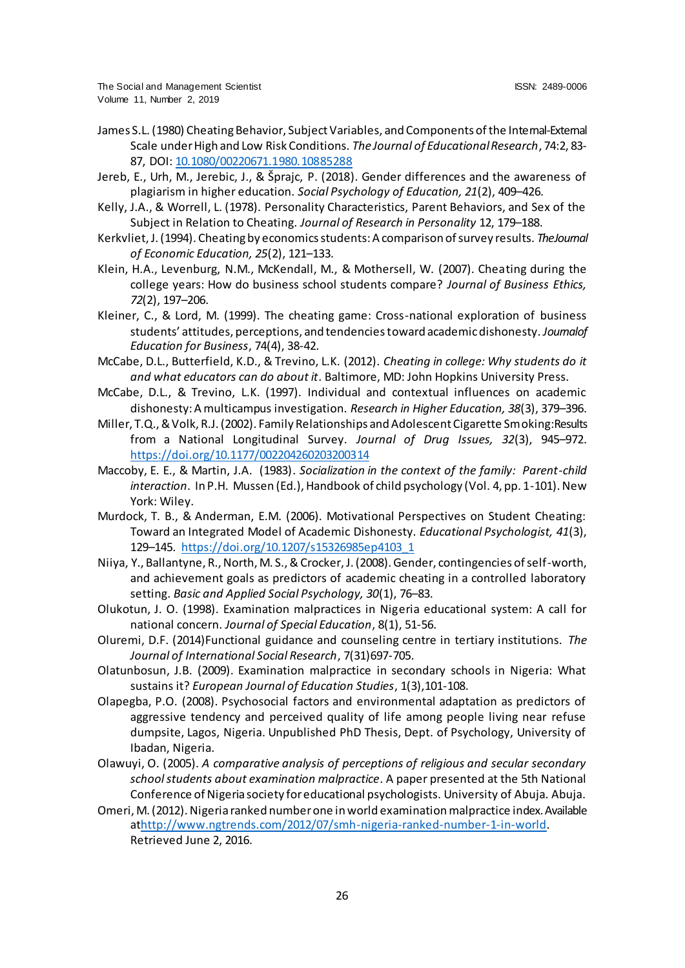- James S.L. (1980) Cheating Behavior, Subject Variables, and Components of the Internal-External Scale under High and Low Risk Conditions. *The Journal of Educational Research*, 74:2, 83- 87, DOI[: 10.1080/00220671.1980.10885288](https://doi.org/10.1080/00220671.1980.10885288)
- Jereb, E., Urh, M., Jerebic, J., & Šprajc, P. (2018). Gender differences and the awareness of plagiarism in higher education. *Social Psychology of Education, 21*(2), 409–426.
- Kelly, J.A., & Worrell, L. (1978). Personality Characteristics, Parent Behaviors, and Sex of the Subject in Relation to Cheating. *Journal of Research in Personality* 12, 179–188.
- Kerkvliet, J. (1994). Cheating by economics students: A comparison of survey results. *The Journal of Economic Education, 25*(2), 121–133.
- Klein, H.A., Levenburg, N.M., McKendall, M., & Mothersell, W. (2007). Cheating during the college years: How do business school students compare? *Journal of Business Ethics, 72*(2), 197–206.
- Kleiner, C., & Lord, M. (1999). The cheating game: Cross-national exploration of business students' attitudes, perceptions, and tendencies toward academic dishonesty. *Journal of Education for Business*, 74(4), 38-42.
- McCabe, D.L., Butterfield, K.D., & Trevino, L.K. (2012). *Cheating in college: Why students do it and what educators can do about it*. Baltimore, MD: John Hopkins University Press.
- McCabe, D.L., & Trevino, L.K. (1997). Individual and contextual influences on academic dishonesty: A multicampus investigation. *Research in Higher Education, 38*(3), 379–396.
- Miller, T.Q., & Volk, R.J. (2002). Family Relationships and Adolescent Cigarette Smoking: Results from a National Longitudinal Survey. *Journal of Drug Issues, 32*(3), 945–972. [https://doi.org/10.1177/002204260203200314](https://psycnet.apa.org/doi/10.1177/002204260203200314)
- Maccoby, E. E., & Martin, J.A. (1983). *Socialization in the context of the family: Parent-child interaction*. In P.H. Mussen (Ed.), Handbook of child psychology (Vol. 4, pp. 1-101). New York: Wiley.
- Murdock, T. B., & Anderman, E.M. (2006). Motivational Perspectives on Student Cheating: Toward an Integrated Model of Academic Dishonesty. *Educational Psychologist, 41*(3), 129–145. [https://doi.org/10.1207/s15326985ep4103\\_1](https://psycnet.apa.org/doi/10.1207/s15326985ep4103_1)
- Niiya, Y., Ballantyne, R., North, M. S., & Crocker, J. (2008). Gender, contingencies of self-worth, and achievement goals as predictors of academic cheating in a controlled laboratory setting. *Basic and Applied Social Psychology, 30*(1), 76–83.
- Olukotun, J. O. (1998). Examination malpractices in Nigeria educational system: A call for national concern. *Journal of Special Education*, 8(1), 51-56.
- Oluremi, D.F. (2014)Functional guidance and counseling centre in tertiary institutions. *The Journal of International Social Research*, 7(31)697-705.
- Olatunbosun, J.B. (2009). Examination malpractice in secondary schools in Nigeria: What sustains it? *European Journal of Education Studies*, 1(3),101-108.
- Olapegba, P.O. (2008). Psychosocial factors and environmental adaptation as predictors of aggressive tendency and perceived quality of life among people living near refuse dumpsite, Lagos, Nigeria. Unpublished PhD Thesis, Dept. of Psychology, University of Ibadan, Nigeria.
- Olawuyi, O. (2005). *A comparative analysis of perceptions of religious and secular secondary school students about examination malpractice*. A paper presented at the 5th National Conference of Nigeria society for educational psychologists. University of Abuja. Abuja.
- Omeri, M. (2012). Nigeria ranked number one in world examination malpractice index. Available a[thttp://www.ngtrends.com/2012/07/smh-nigeria-ranked-number-1-in-wor](http://www.ngtrends.com/2012/07/smh-nigeria-ranked-number-1-in-world)ld. Retrieved June 2, 2016.